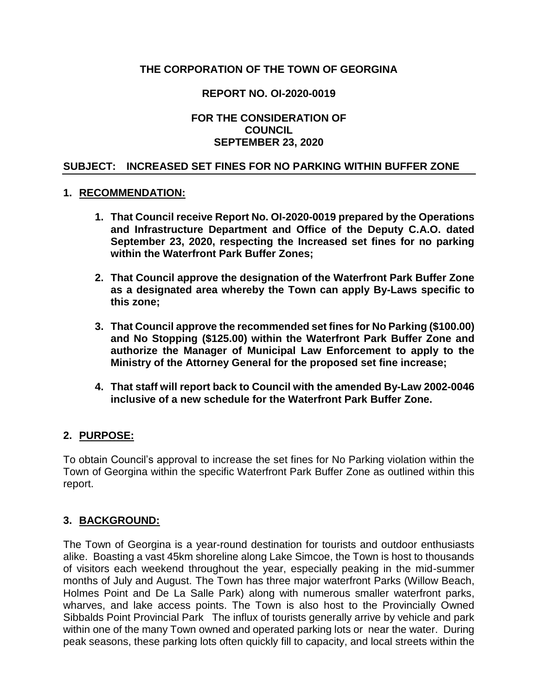# **THE CORPORATION OF THE TOWN OF GEORGINA**

## **REPORT NO. OI-2020-0019**

### **FOR THE CONSIDERATION OF COUNCIL SEPTEMBER 23, 2020**

### **SUBJECT: INCREASED SET FINES FOR NO PARKING WITHIN BUFFER ZONE**

### **1. RECOMMENDATION:**

- **1. That Council receive Report No. OI-2020-0019 prepared by the Operations and Infrastructure Department and Office of the Deputy C.A.O. dated September 23, 2020, respecting the Increased set fines for no parking within the Waterfront Park Buffer Zones;**
- **2. That Council approve the designation of the Waterfront Park Buffer Zone as a designated area whereby the Town can apply By-Laws specific to this zone;**
- **3. That Council approve the recommended set fines for No Parking (\$100.00) and No Stopping (\$125.00) within the Waterfront Park Buffer Zone and authorize the Manager of Municipal Law Enforcement to apply to the Ministry of the Attorney General for the proposed set fine increase;**
- **4. That staff will report back to Council with the amended By-Law 2002-0046 inclusive of a new schedule for the Waterfront Park Buffer Zone.**

### **2. PURPOSE:**

To obtain Council's approval to increase the set fines for No Parking violation within the Town of Georgina within the specific Waterfront Park Buffer Zone as outlined within this report.

### **3. BACKGROUND:**

The Town of Georgina is a year-round destination for tourists and outdoor enthusiasts alike. Boasting a vast 45km shoreline along Lake Simcoe, the Town is host to thousands of visitors each weekend throughout the year, especially peaking in the mid-summer months of July and August. The Town has three major waterfront Parks (Willow Beach, Holmes Point and De La Salle Park) along with numerous smaller waterfront parks, wharves, and lake access points. The Town is also host to the Provincially Owned Sibbalds Point Provincial Park The influx of tourists generally arrive by vehicle and park within one of the many Town owned and operated parking lots or near the water. During peak seasons, these parking lots often quickly fill to capacity, and local streets within the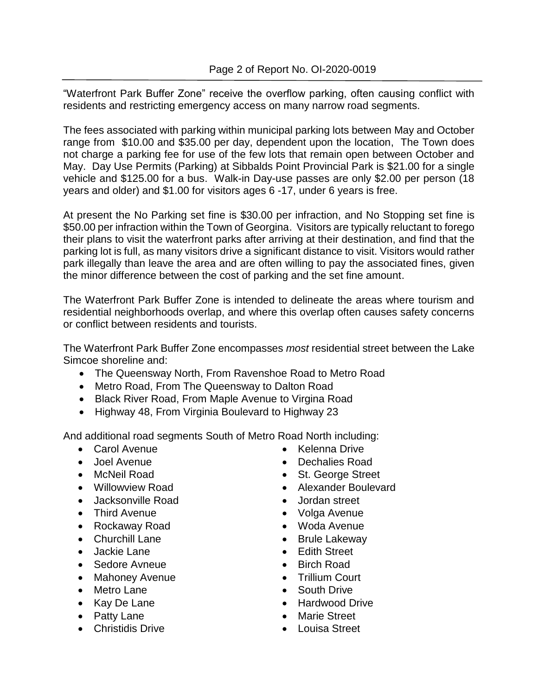"Waterfront Park Buffer Zone" receive the overflow parking, often causing conflict with residents and restricting emergency access on many narrow road segments.

The fees associated with parking within municipal parking lots between May and October range from \$10.00 and \$35.00 per day, dependent upon the location, The Town does not charge a parking fee for use of the few lots that remain open between October and May. Day Use Permits (Parking) at Sibbalds Point Provincial Park is \$21.00 for a single vehicle and \$125.00 for a bus. Walk-in Day-use passes are only \$2.00 per person (18 years and older) and \$1.00 for visitors ages 6 -17, under 6 years is free.

At present the No Parking set fine is \$30.00 per infraction, and No Stopping set fine is \$50.00 per infraction within the Town of Georgina. Visitors are typically reluctant to forego their plans to visit the waterfront parks after arriving at their destination, and find that the parking lot is full, as many visitors drive a significant distance to visit. Visitors would rather park illegally than leave the area and are often willing to pay the associated fines, given the minor difference between the cost of parking and the set fine amount.

The Waterfront Park Buffer Zone is intended to delineate the areas where tourism and residential neighborhoods overlap, and where this overlap often causes safety concerns or conflict between residents and tourists.

The Waterfront Park Buffer Zone encompasses *most* residential street between the Lake Simcoe shoreline and:

- The Queensway North, From Ravenshoe Road to Metro Road
- Metro Road, From The Queensway to Dalton Road
- Black River Road, From Maple Avenue to Virgina Road
- Highway 48, From Virginia Boulevard to Highway 23

And additional road segments South of Metro Road North including:

- Carol Avenue
- Joel Avenue
- McNeil Road
- Willowview Road
- Jacksonville Road
- Third Avenue
- Rockaway Road
- Churchill Lane
- Jackie Lane
- Sedore Avneue
- Mahoney Avenue
- Metro Lane
- Kay De Lane
- Patty Lane
- Christidis Drive
- Kelenna Drive
- Dechalies Road
- St. George Street
- Alexander Boulevard
- Jordan street
- Volga Avenue
- Woda Avenue
- Brule Lakeway
- Edith Street
- Birch Road
- Trillium Court
- South Drive
- Hardwood Drive
- Marie Street
- Louisa Street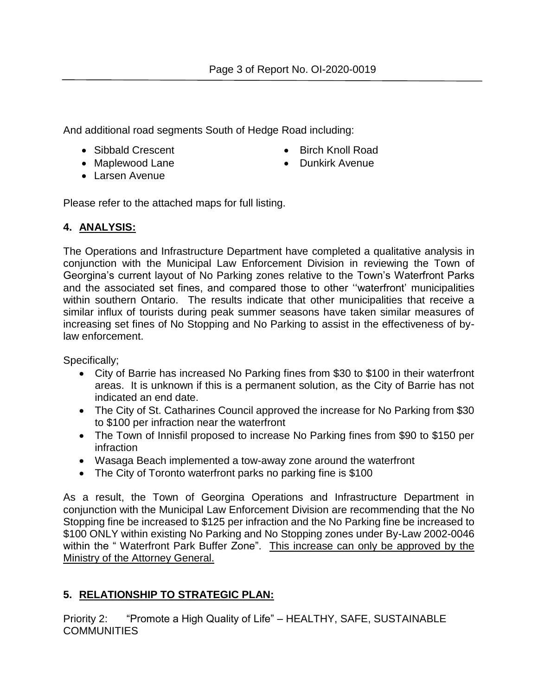And additional road segments South of Hedge Road including:

- Sibbald Crescent
- Maplewood Lane
- Larsen Avenue
- Birch Knoll Road
- Dunkirk Avenue

Please refer to the attached maps for full listing.

# **4. ANALYSIS:**

The Operations and Infrastructure Department have completed a qualitative analysis in conjunction with the Municipal Law Enforcement Division in reviewing the Town of Georgina's current layout of No Parking zones relative to the Town's Waterfront Parks and the associated set fines, and compared those to other ''waterfront' municipalities within southern Ontario. The results indicate that other municipalities that receive a similar influx of tourists during peak summer seasons have taken similar measures of increasing set fines of No Stopping and No Parking to assist in the effectiveness of bylaw enforcement.

Specifically;

- City of Barrie has increased No Parking fines from \$30 to \$100 in their waterfront areas. It is unknown if this is a permanent solution, as the City of Barrie has not indicated an end date.
- The City of St. Catharines Council approved the increase for No Parking from \$30 to \$100 per infraction near the waterfront
- The Town of Innisfil proposed to increase No Parking fines from \$90 to \$150 per infraction
- Wasaga Beach implemented a tow-away zone around the waterfront
- The City of Toronto waterfront parks no parking fine is \$100

As a result, the Town of Georgina Operations and Infrastructure Department in conjunction with the Municipal Law Enforcement Division are recommending that the No Stopping fine be increased to \$125 per infraction and the No Parking fine be increased to \$100 ONLY within existing No Parking and No Stopping zones under By-Law 2002-0046 within the "Waterfront Park Buffer Zone". This increase can only be approved by the Ministry of the Attorney General.

# **5. RELATIONSHIP TO STRATEGIC PLAN:**

Priority 2: "Promote a High Quality of Life" – HEALTHY, SAFE, SUSTAINABLE **COMMUNITIES**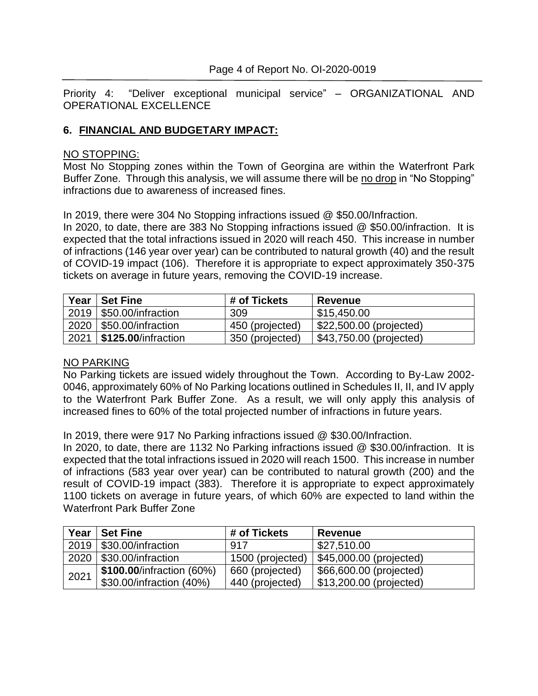Priority 4: "Deliver exceptional municipal service" – ORGANIZATIONAL AND OPERATIONAL EXCELLENCE

## **6. FINANCIAL AND BUDGETARY IMPACT:**

### NO STOPPING:

Most No Stopping zones within the Town of Georgina are within the Waterfront Park Buffer Zone. Through this analysis, we will assume there will be no drop in "No Stopping" infractions due to awareness of increased fines.

In 2019, there were 304 No Stopping infractions issued @ \$50.00/Infraction.

In 2020, to date, there are 383 No Stopping infractions issued @ \$50.00/infraction. It is expected that the total infractions issued in 2020 will reach 450. This increase in number of infractions (146 year over year) can be contributed to natural growth (40) and the result of COVID-19 impact (106). Therefore it is appropriate to expect approximately 350-375 tickets on average in future years, removing the COVID-19 increase.

| Year | <b>Set Fine</b>                   | # of Tickets    | <b>Revenue</b>          |
|------|-----------------------------------|-----------------|-------------------------|
|      | 2019   \$50.00/infraction         | 309             | \$15,450.00             |
| 2020 | $ \$50.00$ /infraction            | 450 (projected) | \$22,500.00 (projected) |
| 2021 | $\frac{1}{2}$ \$125.00/infraction | 350 (projected) | \$43,750.00 (projected) |

### NO PARKING

No Parking tickets are issued widely throughout the Town. According to By-Law 2002- 0046, approximately 60% of No Parking locations outlined in Schedules II, II, and IV apply to the Waterfront Park Buffer Zone. As a result, we will only apply this analysis of increased fines to 60% of the total projected number of infractions in future years.

In 2019, there were 917 No Parking infractions issued @ \$30.00/Infraction.

In 2020, to date, there are 1132 No Parking infractions issued @ \$30.00/infraction. It is expected that the total infractions issued in 2020 will reach 1500. This increase in number of infractions (583 year over year) can be contributed to natural growth (200) and the result of COVID-19 impact (383). Therefore it is appropriate to expect approximately 1100 tickets on average in future years, of which 60% are expected to land within the Waterfront Park Buffer Zone

| Year | <b>Set Fine</b>           | # of Tickets     | <b>Revenue</b>          |
|------|---------------------------|------------------|-------------------------|
|      | 2019   \$30.00/infraction | 917              | \$27,510.00             |
|      | 2020   \$30.00/infraction | 1500 (projected) | \$45,000.00 (projected) |
| 2021 | \$100.00/infraction (60%) | 660 (projected)  | \$66,600.00 (projected) |
|      | \$30.00/infraction (40%)  | 440 (projected)  | \$13,200.00 (projected) |